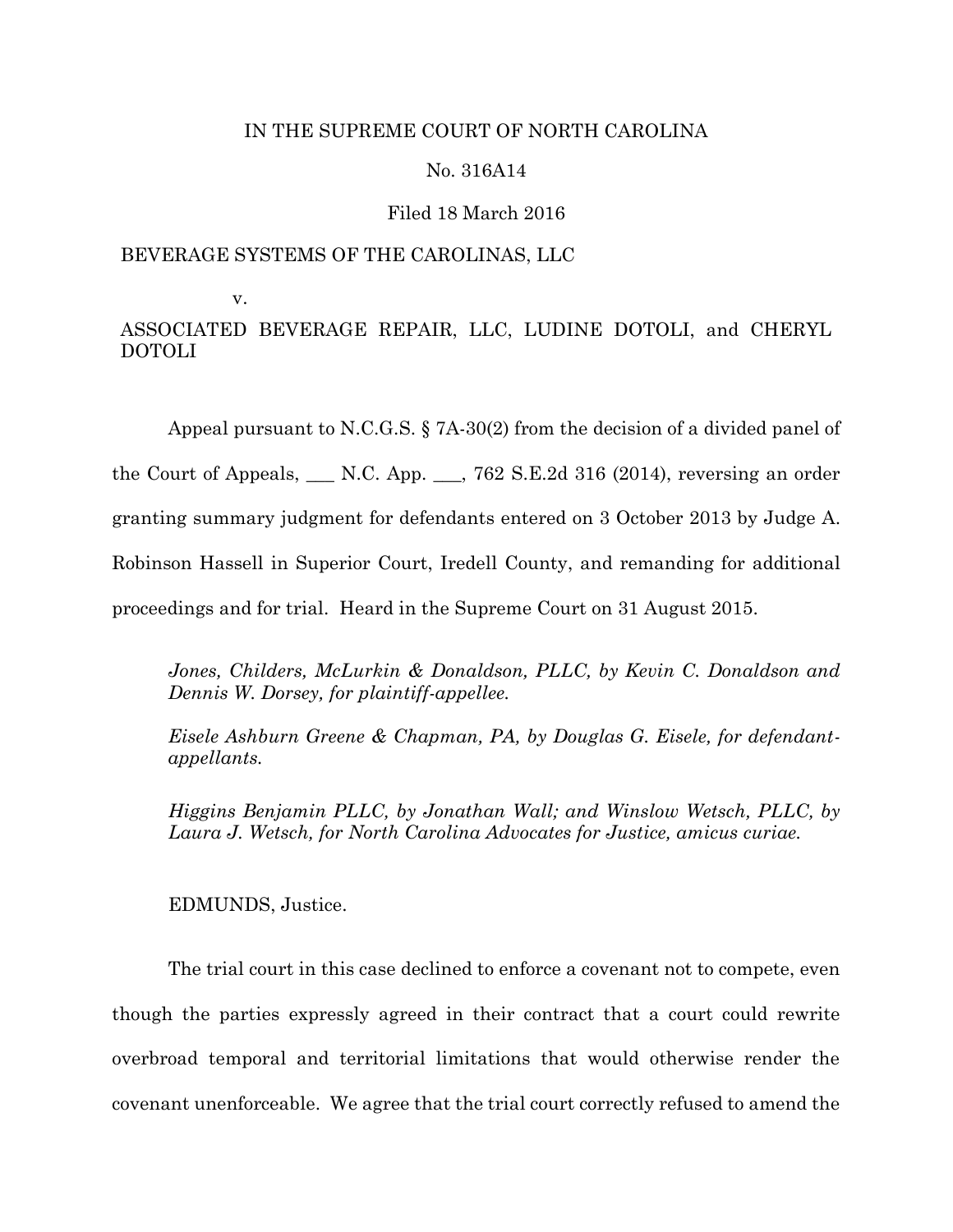# IN THE SUPREME COURT OF NORTH CAROLINA

## No. 316A14

## Filed 18 March 2016

# BEVERAGE SYSTEMS OF THE CAROLINAS, LLC

v.

ASSOCIATED BEVERAGE REPAIR, LLC, LUDINE DOTOLI, and CHERYL DOTOLI

Appeal pursuant to N.C.G.S. § 7A-30(2) from the decision of a divided panel of

the Court of Appeals,  $\Box$  N.C. App.  $\Box$ , 762 S.E.2d 316 (2014), reversing an order

granting summary judgment for defendants entered on 3 October 2013 by Judge A.

Robinson Hassell in Superior Court, Iredell County, and remanding for additional

proceedings and for trial. Heard in the Supreme Court on 31 August 2015.

*Jones, Childers, McLurkin & Donaldson, PLLC, by Kevin C. Donaldson and Dennis W. Dorsey, for plaintiff-appellee.*

*Eisele Ashburn Greene & Chapman, PA, by Douglas G. Eisele, for defendantappellants.*

*Higgins Benjamin PLLC, by Jonathan Wall; and Winslow Wetsch, PLLC, by Laura J. Wetsch, for North Carolina Advocates for Justice, amicus curiae.*

EDMUNDS, Justice.

The trial court in this case declined to enforce a covenant not to compete, even though the parties expressly agreed in their contract that a court could rewrite overbroad temporal and territorial limitations that would otherwise render the covenant unenforceable. We agree that the trial court correctly refused to amend the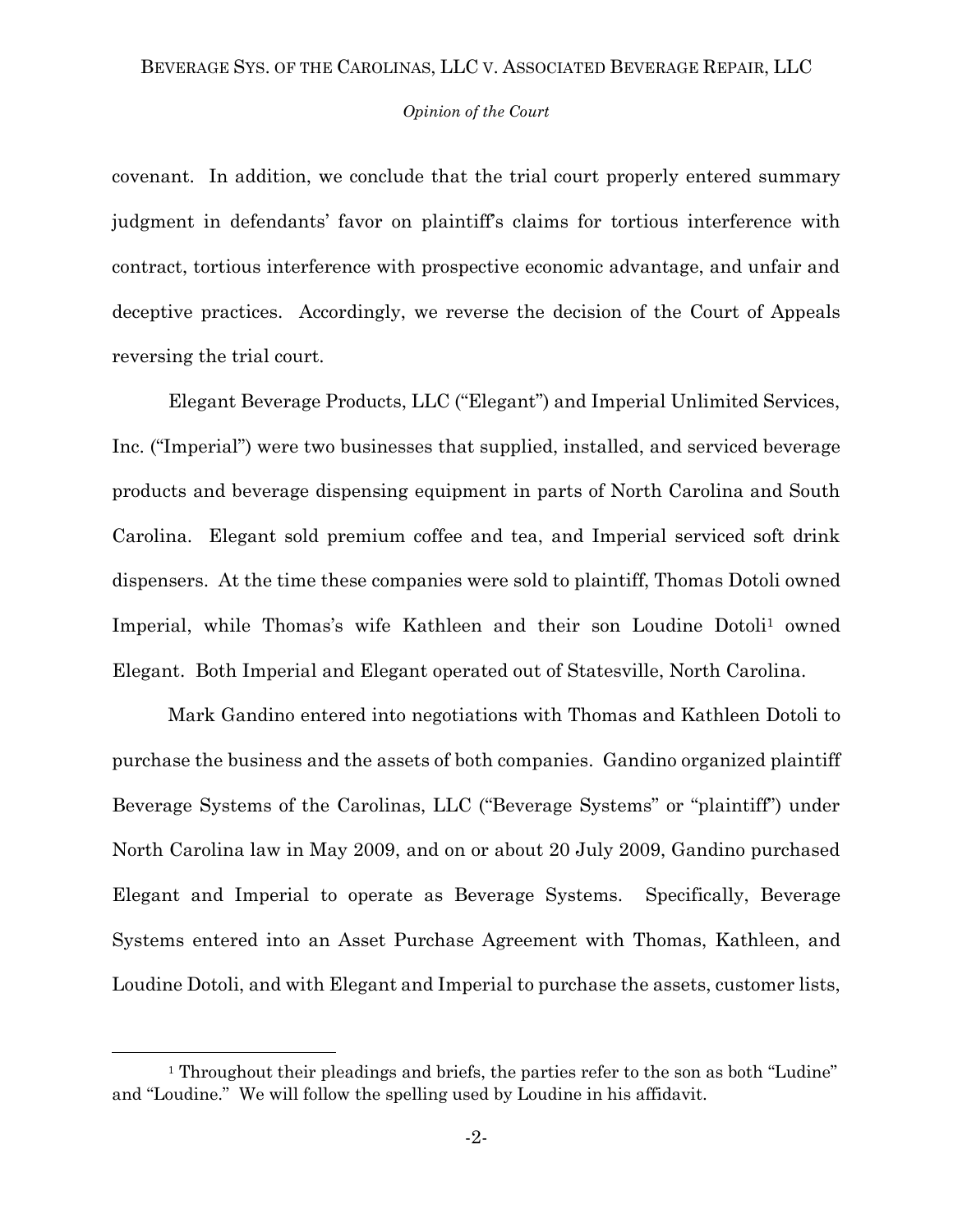## *Opinion of the Court*

covenant. In addition, we conclude that the trial court properly entered summary judgment in defendants' favor on plaintiff's claims for tortious interference with contract, tortious interference with prospective economic advantage, and unfair and deceptive practices. Accordingly, we reverse the decision of the Court of Appeals reversing the trial court.

Elegant Beverage Products, LLC ("Elegant") and Imperial Unlimited Services, Inc. ("Imperial") were two businesses that supplied, installed, and serviced beverage products and beverage dispensing equipment in parts of North Carolina and South Carolina. Elegant sold premium coffee and tea, and Imperial serviced soft drink dispensers. At the time these companies were sold to plaintiff, Thomas Dotoli owned Imperial, while Thomas's wife Kathleen and their son Loudine Dotoli<sup>1</sup> owned Elegant. Both Imperial and Elegant operated out of Statesville, North Carolina.

Mark Gandino entered into negotiations with Thomas and Kathleen Dotoli to purchase the business and the assets of both companies. Gandino organized plaintiff Beverage Systems of the Carolinas, LLC ("Beverage Systems" or "plaintiff") under North Carolina law in May 2009, and on or about 20 July 2009, Gandino purchased Elegant and Imperial to operate as Beverage Systems. Specifically, Beverage Systems entered into an Asset Purchase Agreement with Thomas, Kathleen, and Loudine Dotoli, and with Elegant and Imperial to purchase the assets, customer lists,

 $\overline{a}$ 

<sup>&</sup>lt;sup>1</sup> Throughout their pleadings and briefs, the parties refer to the son as both "Ludine" and "Loudine." We will follow the spelling used by Loudine in his affidavit.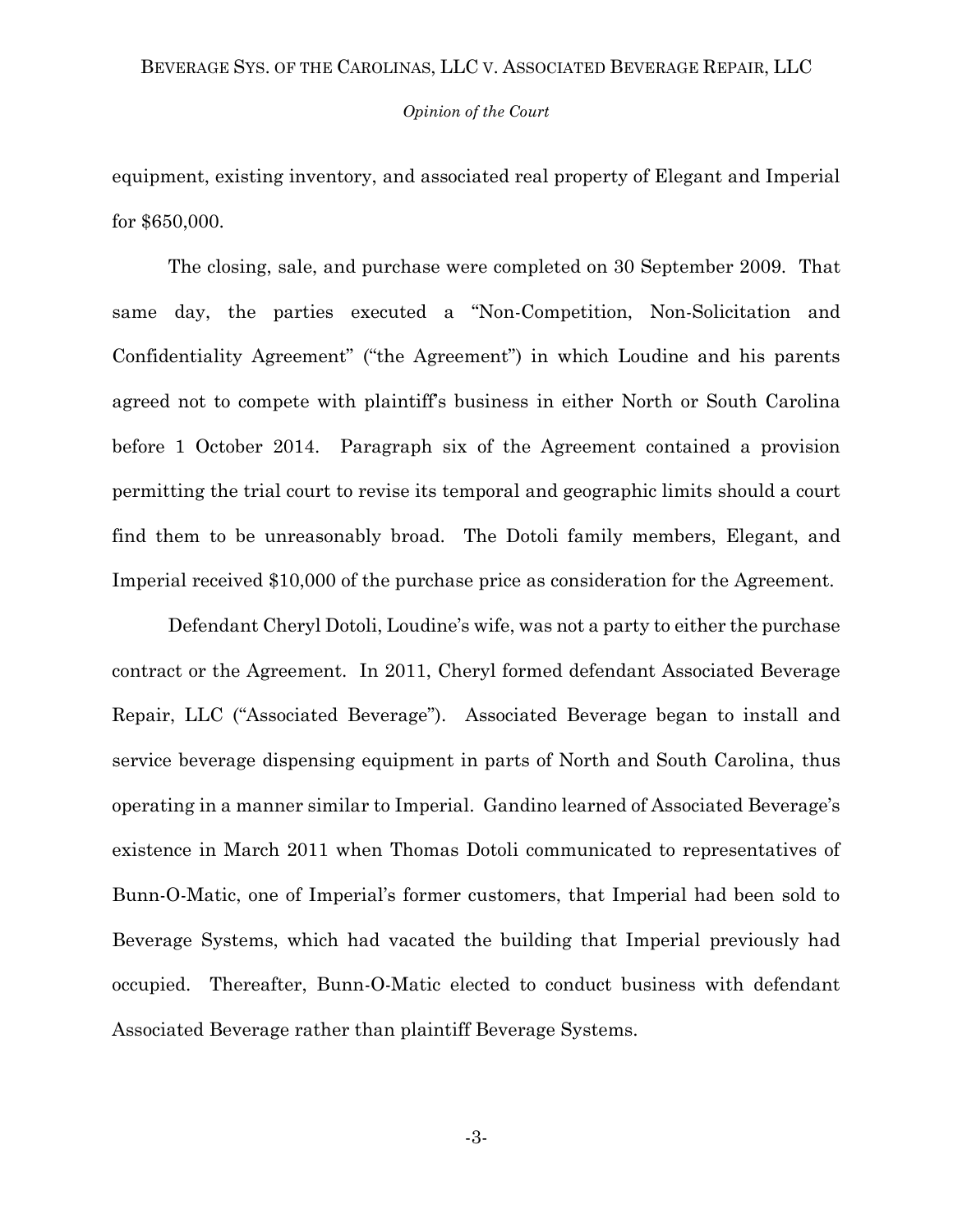## *Opinion of the Court*

equipment, existing inventory, and associated real property of Elegant and Imperial for \$650,000.

The closing, sale, and purchase were completed on 30 September 2009. That same day, the parties executed a "Non-Competition, Non-Solicitation and Confidentiality Agreement" ("the Agreement") in which Loudine and his parents agreed not to compete with plaintiff's business in either North or South Carolina before 1 October 2014. Paragraph six of the Agreement contained a provision permitting the trial court to revise its temporal and geographic limits should a court find them to be unreasonably broad. The Dotoli family members, Elegant, and Imperial received \$10,000 of the purchase price as consideration for the Agreement.

Defendant Cheryl Dotoli, Loudine's wife, was not a party to either the purchase contract or the Agreement. In 2011, Cheryl formed defendant Associated Beverage Repair, LLC ("Associated Beverage"). Associated Beverage began to install and service beverage dispensing equipment in parts of North and South Carolina, thus operating in a manner similar to Imperial. Gandino learned of Associated Beverage's existence in March 2011 when Thomas Dotoli communicated to representatives of Bunn-O-Matic, one of Imperial's former customers, that Imperial had been sold to Beverage Systems, which had vacated the building that Imperial previously had occupied. Thereafter, Bunn-O-Matic elected to conduct business with defendant Associated Beverage rather than plaintiff Beverage Systems.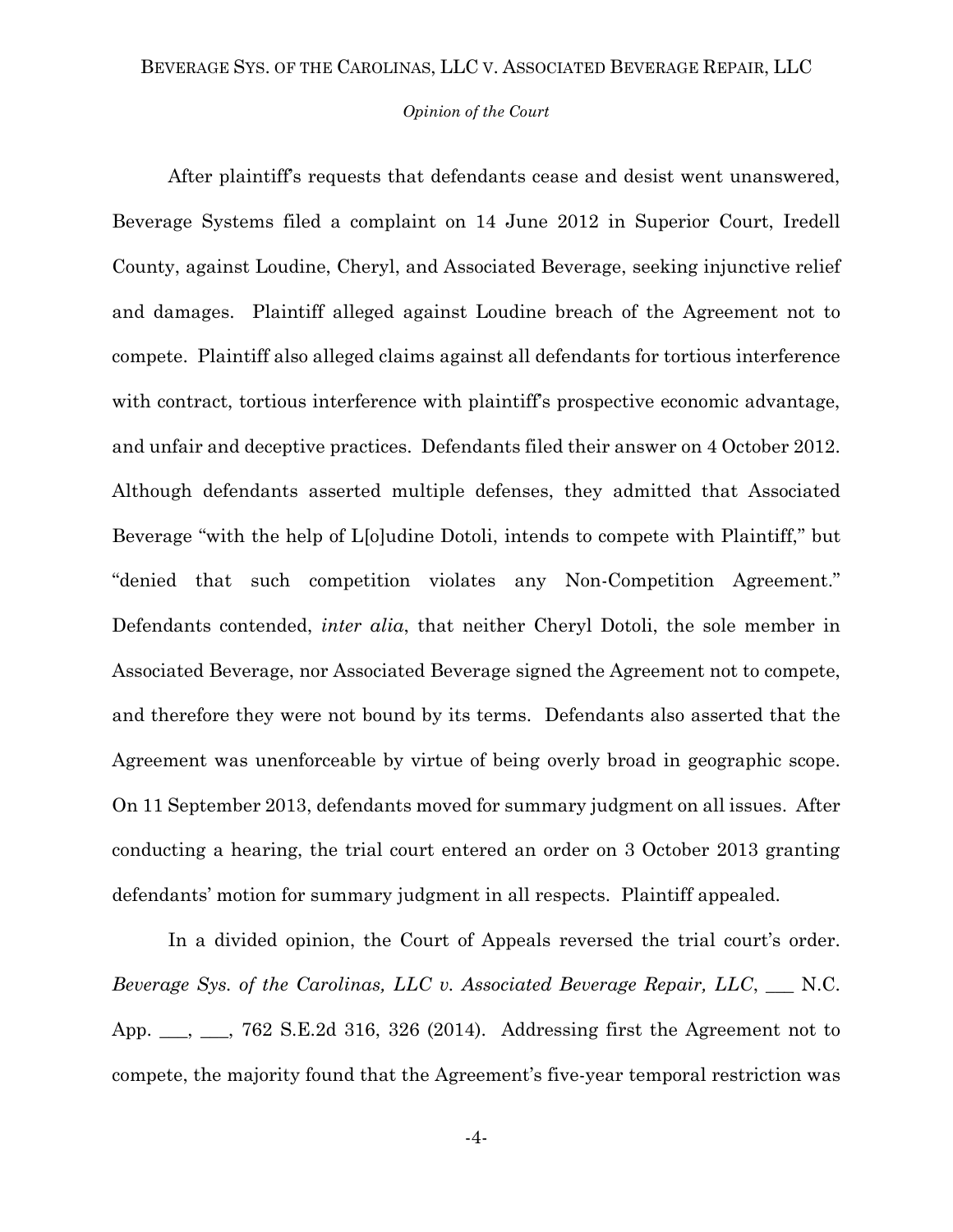## *Opinion of the Court*

After plaintiff's requests that defendants cease and desist went unanswered, Beverage Systems filed a complaint on 14 June 2012 in Superior Court, Iredell County, against Loudine, Cheryl, and Associated Beverage, seeking injunctive relief and damages. Plaintiff alleged against Loudine breach of the Agreement not to compete. Plaintiff also alleged claims against all defendants for tortious interference with contract, tortious interference with plaintiff's prospective economic advantage, and unfair and deceptive practices. Defendants filed their answer on 4 October 2012. Although defendants asserted multiple defenses, they admitted that Associated Beverage "with the help of L[o]udine Dotoli, intends to compete with Plaintiff," but "denied that such competition violates any Non-Competition Agreement." Defendants contended, *inter alia*, that neither Cheryl Dotoli, the sole member in Associated Beverage, nor Associated Beverage signed the Agreement not to compete, and therefore they were not bound by its terms. Defendants also asserted that the Agreement was unenforceable by virtue of being overly broad in geographic scope. On 11 September 2013, defendants moved for summary judgment on all issues. After conducting a hearing, the trial court entered an order on 3 October 2013 granting defendants' motion for summary judgment in all respects. Plaintiff appealed.

In a divided opinion, the Court of Appeals reversed the trial court's order. *Beverage Sys. of the Carolinas, LLC v. Associated Beverage Repair, LLC*, \_\_\_ N.C. App. \_\_, \_\_, 762 S.E.2d 316, 326 (2014). Addressing first the Agreement not to compete, the majority found that the Agreement's five-year temporal restriction was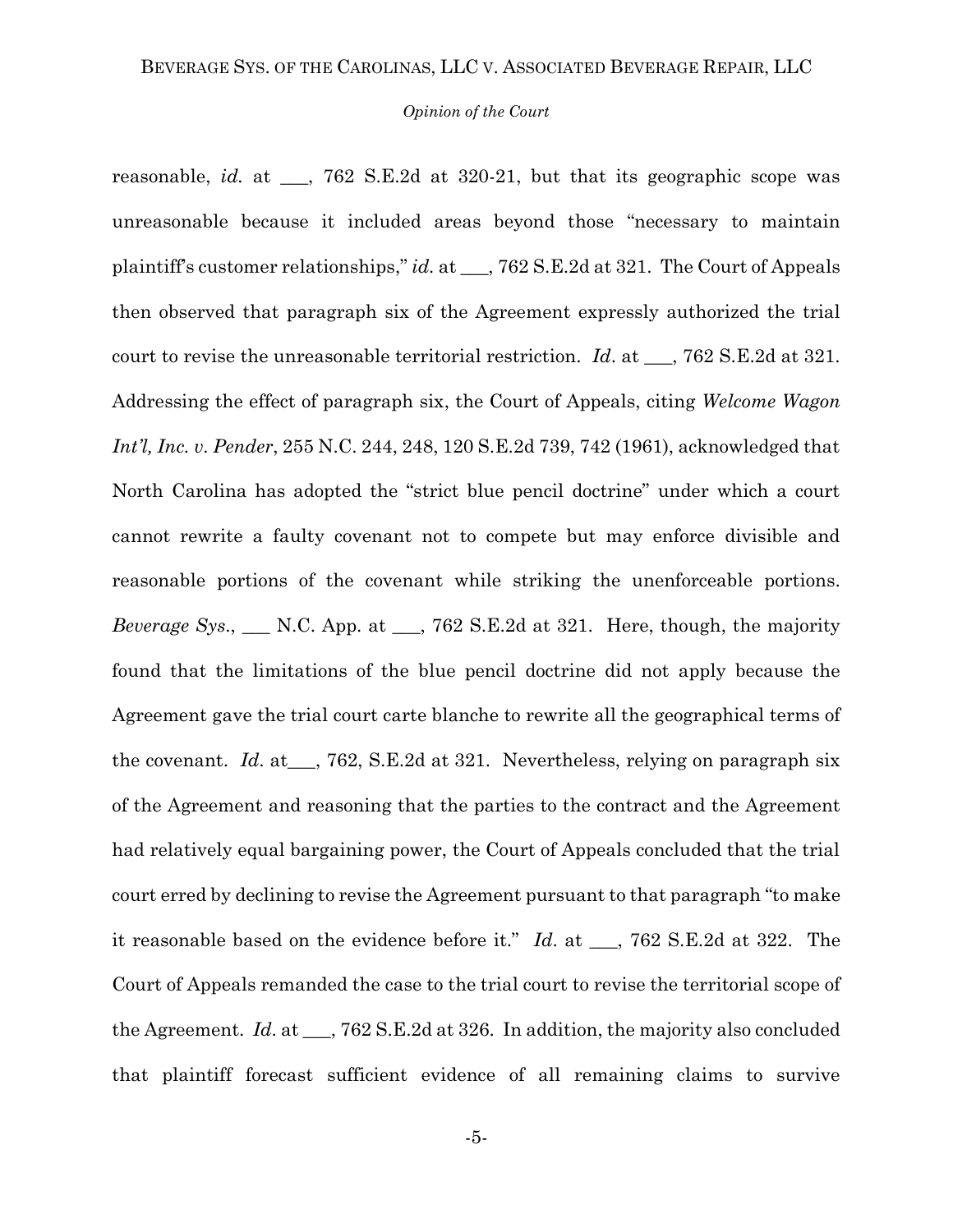#### *Opinion of the Court*

reasonable, *id.* at \_\_\_, 762 S.E.2d at 320-21, but that its geographic scope was unreasonable because it included areas beyond those "necessary to maintain plaintiff's customer relationships," *id.* at \_\_\_, 762 S.E.2d at 321. The Court of Appeals then observed that paragraph six of the Agreement expressly authorized the trial court to revise the unreasonable territorial restriction. *Id*. at \_\_\_, 762 S.E.2d at 321. Addressing the effect of paragraph six, the Court of Appeals, citing *Welcome Wagon Int'l, Inc. v. Pender*, 255 N.C. 244, 248, 120 S.E.2d 739, 742 (1961), acknowledged that North Carolina has adopted the "strict blue pencil doctrine" under which a court cannot rewrite a faulty covenant not to compete but may enforce divisible and reasonable portions of the covenant while striking the unenforceable portions. *Beverage Sys.*, N.C. App. at  $\phantom{0}$ , 762 S.E.2d at 321. Here, though, the majority found that the limitations of the blue pencil doctrine did not apply because the Agreement gave the trial court carte blanche to rewrite all the geographical terms of the covenant. *Id*. at\_\_\_, 762, S.E.2d at 321. Nevertheless, relying on paragraph six of the Agreement and reasoning that the parties to the contract and the Agreement had relatively equal bargaining power, the Court of Appeals concluded that the trial court erred by declining to revise the Agreement pursuant to that paragraph "to make it reasonable based on the evidence before it." *Id*. at \_\_\_, 762 S.E.2d at 322. The Court of Appeals remanded the case to the trial court to revise the territorial scope of the Agreement. *Id*. at \_\_\_, 762 S.E.2d at 326. In addition, the majority also concluded that plaintiff forecast sufficient evidence of all remaining claims to survive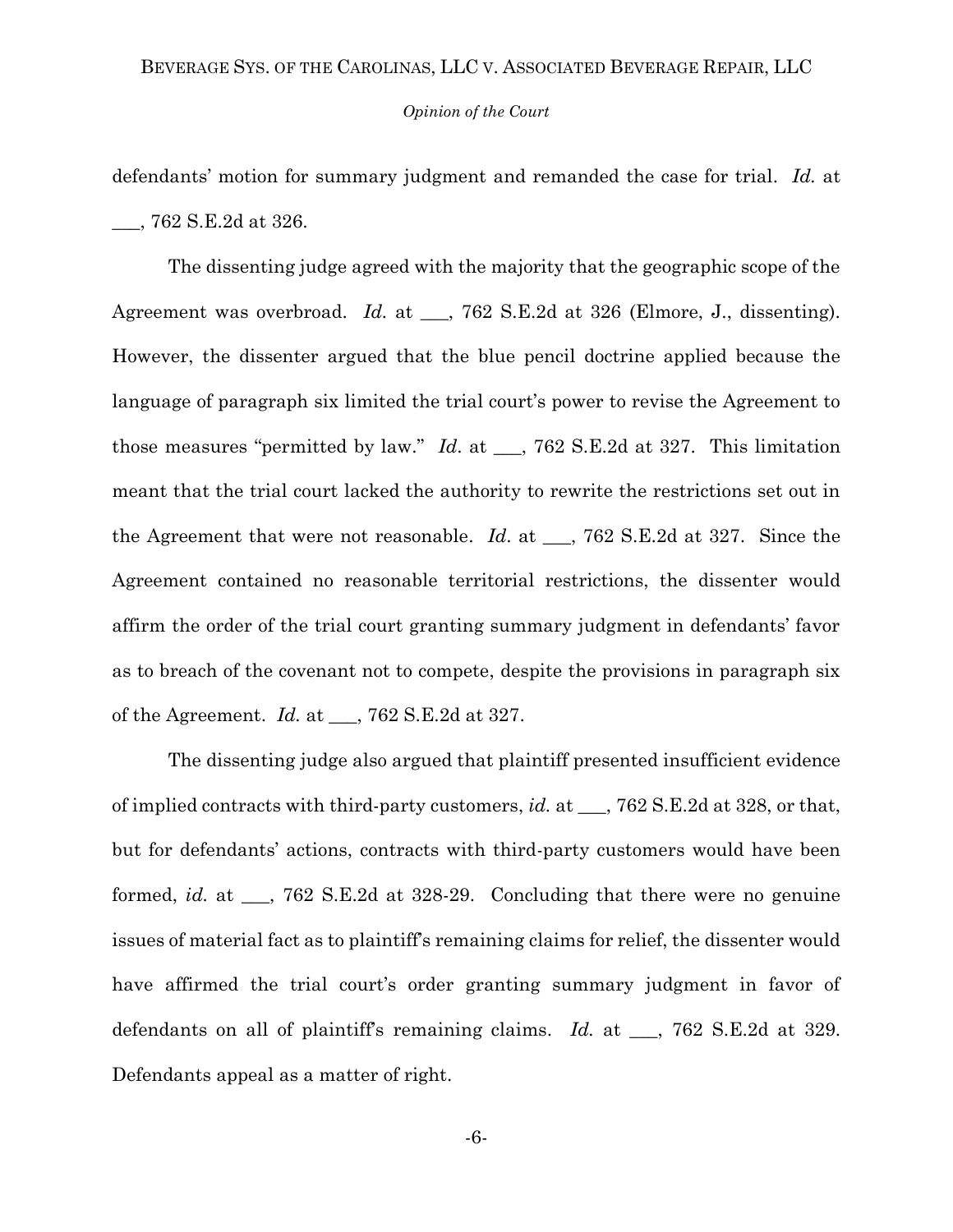#### *Opinion of the Court*

defendants' motion for summary judgment and remanded the case for trial. *Id.* at \_\_\_, 762 S.E.2d at 326.

The dissenting judge agreed with the majority that the geographic scope of the Agreement was overbroad. *Id.* at \_\_, 762 S.E.2d at 326 (Elmore, J., dissenting). However, the dissenter argued that the blue pencil doctrine applied because the language of paragraph six limited the trial court's power to revise the Agreement to those measures "permitted by law." *Id*. at \_\_\_, 762 S.E.2d at 327. This limitation meant that the trial court lacked the authority to rewrite the restrictions set out in the Agreement that were not reasonable. *Id*. at \_\_\_, 762 S.E.2d at 327. Since the Agreement contained no reasonable territorial restrictions, the dissenter would affirm the order of the trial court granting summary judgment in defendants' favor as to breach of the covenant not to compete, despite the provisions in paragraph six of the Agreement. *Id.* at \_\_\_, 762 S.E.2d at 327.

The dissenting judge also argued that plaintiff presented insufficient evidence of implied contracts with third-party customers, *id.* at \_\_\_, 762 S.E.2d at 328, or that, but for defendants' actions, contracts with third-party customers would have been formed, *id.* at \_\_\_, 762 S.E.2d at 328-29. Concluding that there were no genuine issues of material fact as to plaintiff's remaining claims for relief, the dissenter would have affirmed the trial court's order granting summary judgment in favor of defendants on all of plaintiff's remaining claims. *Id.* at \_\_\_, 762 S.E.2d at 329. Defendants appeal as a matter of right.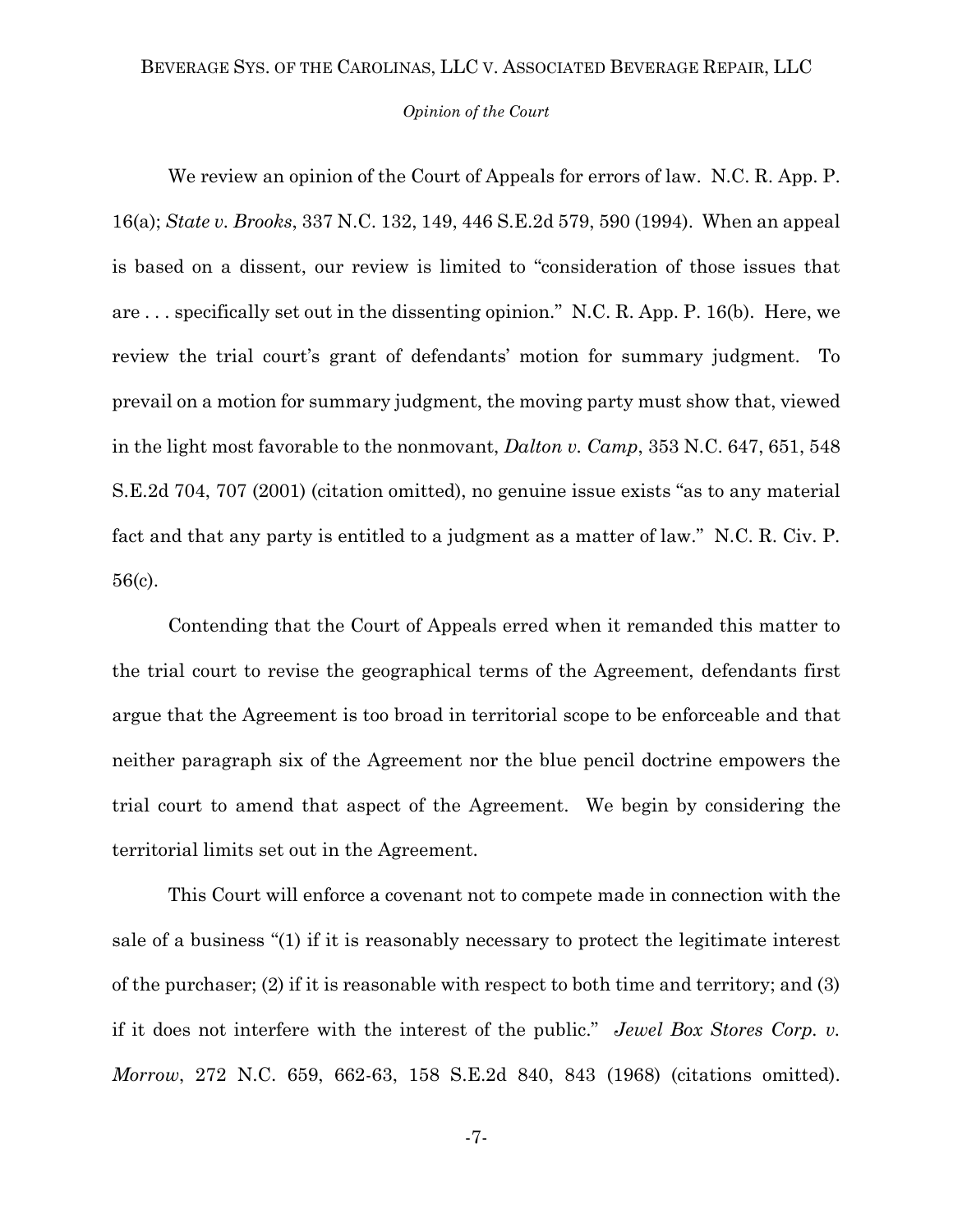#### *Opinion of the Court*

We review an opinion of the Court of Appeals for errors of law. N.C. R. App. P. 16(a); *State v. Brooks*, 337 N.C. 132, 149, 446 S.E.2d 579, 590 (1994). When an appeal is based on a dissent, our review is limited to "consideration of those issues that are . . . specifically set out in the dissenting opinion." N.C. R. App. P. 16(b). Here, we review the trial court's grant of defendants' motion for summary judgment. To prevail on a motion for summary judgment, the moving party must show that, viewed in the light most favorable to the nonmovant, *Dalton v. Camp*, 353 N.C. 647, 651, 548 S.E.2d 704, 707 (2001) (citation omitted), no genuine issue exists "as to any material fact and that any party is entitled to a judgment as a matter of law." N.C. R. Civ. P. 56(c).

Contending that the Court of Appeals erred when it remanded this matter to the trial court to revise the geographical terms of the Agreement, defendants first argue that the Agreement is too broad in territorial scope to be enforceable and that neither paragraph six of the Agreement nor the blue pencil doctrine empowers the trial court to amend that aspect of the Agreement. We begin by considering the territorial limits set out in the Agreement.

This Court will enforce a covenant not to compete made in connection with the sale of a business "(1) if it is reasonably necessary to protect the legitimate interest of the purchaser; (2) if it is reasonable with respect to both time and territory; and (3) if it does not interfere with the interest of the public." *Jewel Box Stores Corp. v. Morrow*, 272 N.C. 659, 662-63, 158 S.E.2d 840, 843 (1968) (citations omitted).

-7-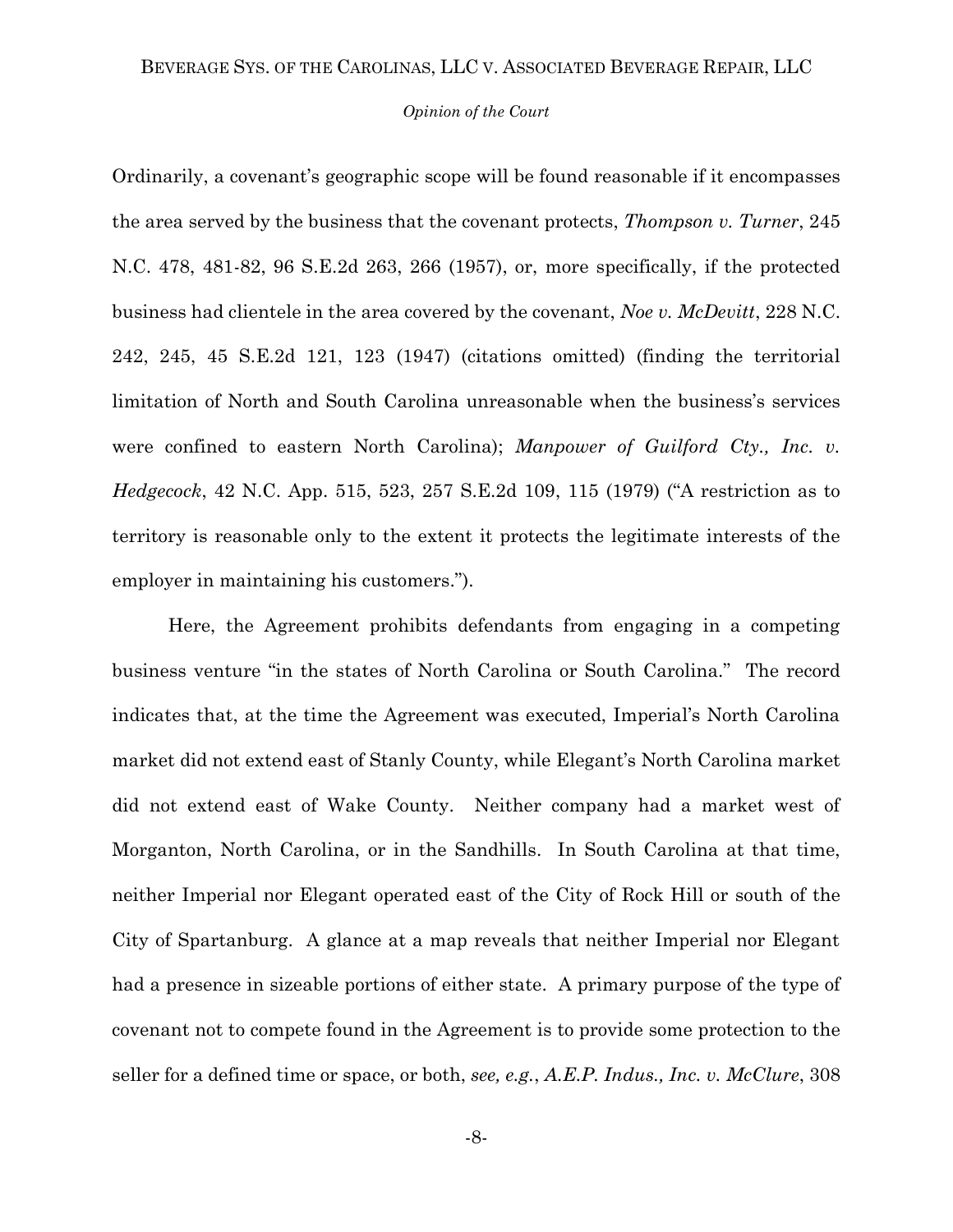#### *Opinion of the Court*

Ordinarily, a covenant's geographic scope will be found reasonable if it encompasses the area served by the business that the covenant protects, *Thompson v. Turner*, 245 N.C. 478, 481-82, 96 S.E.2d 263, 266 (1957), or, more specifically, if the protected business had clientele in the area covered by the covenant, *Noe v. McDevitt*, 228 N.C. 242, 245, 45 S.E.2d 121, 123 (1947) (citations omitted) (finding the territorial limitation of North and South Carolina unreasonable when the business's services were confined to eastern North Carolina); *Manpower of Guilford Cty., Inc. v. Hedgecock*, 42 N.C. App. 515, 523, 257 S.E.2d 109, 115 (1979) ("A restriction as to territory is reasonable only to the extent it protects the legitimate interests of the employer in maintaining his customers.").

Here, the Agreement prohibits defendants from engaging in a competing business venture "in the states of North Carolina or South Carolina." The record indicates that, at the time the Agreement was executed, Imperial's North Carolina market did not extend east of Stanly County, while Elegant's North Carolina market did not extend east of Wake County. Neither company had a market west of Morganton, North Carolina, or in the Sandhills. In South Carolina at that time, neither Imperial nor Elegant operated east of the City of Rock Hill or south of the City of Spartanburg. A glance at a map reveals that neither Imperial nor Elegant had a presence in sizeable portions of either state. A primary purpose of the type of covenant not to compete found in the Agreement is to provide some protection to the seller for a defined time or space, or both, *see, e.g.*, *A.E.P. Indus., Inc. v. McClure*, 308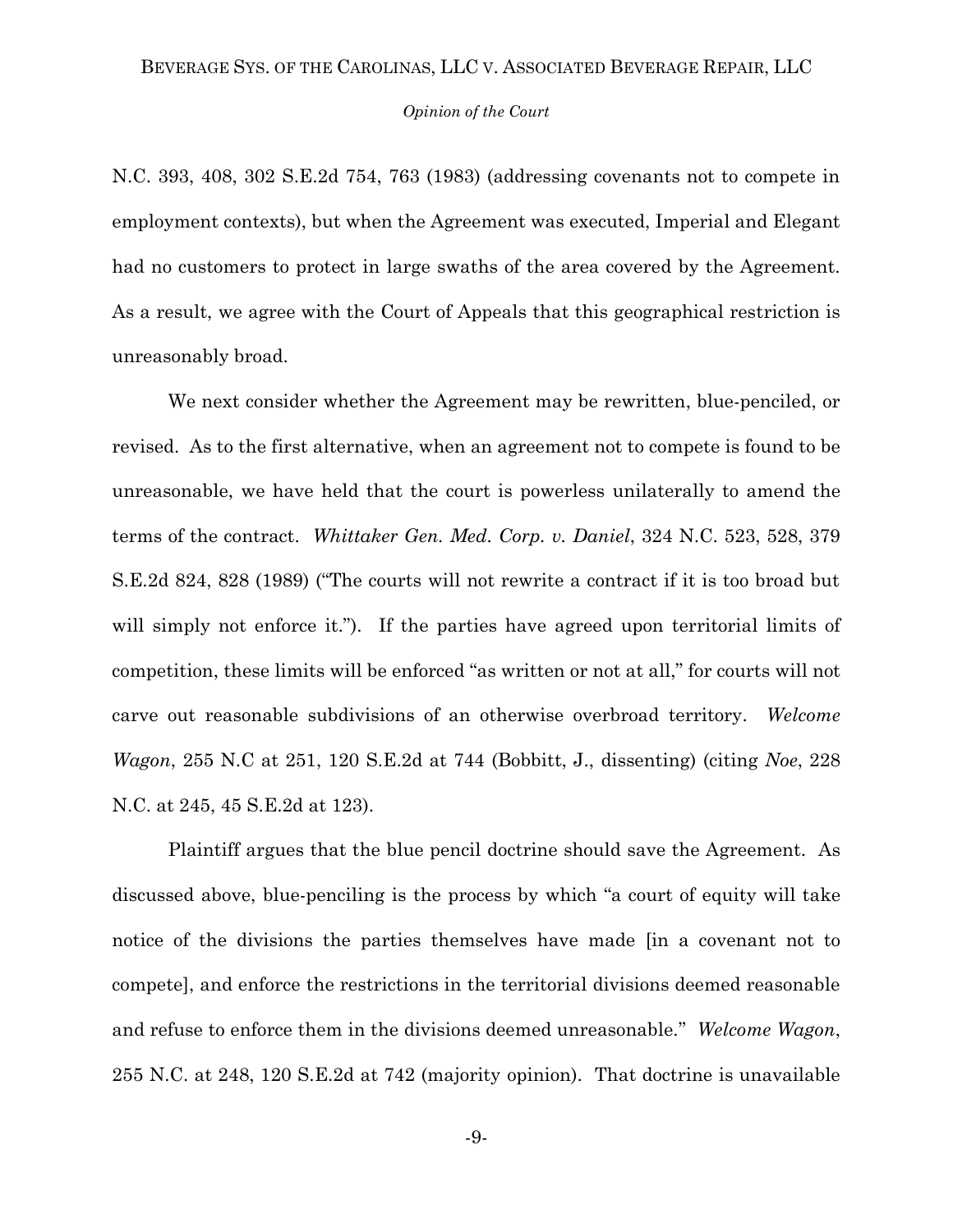### *Opinion of the Court*

N.C. 393, 408, 302 S.E.2d 754, 763 (1983) (addressing covenants not to compete in employment contexts), but when the Agreement was executed, Imperial and Elegant had no customers to protect in large swaths of the area covered by the Agreement. As a result, we agree with the Court of Appeals that this geographical restriction is unreasonably broad.

We next consider whether the Agreement may be rewritten, blue-penciled, or revised. As to the first alternative, when an agreement not to compete is found to be unreasonable, we have held that the court is powerless unilaterally to amend the terms of the contract. *Whittaker Gen. Med. Corp. v. Daniel*, 324 N.C. 523, 528, 379 S.E.2d 824, 828 (1989) ("The courts will not rewrite a contract if it is too broad but will simply not enforce it."). If the parties have agreed upon territorial limits of competition, these limits will be enforced "as written or not at all," for courts will not carve out reasonable subdivisions of an otherwise overbroad territory. *Welcome Wagon*, 255 N.C at 251, 120 S.E.2d at 744 (Bobbitt, J., dissenting) (citing *Noe*, 228 N.C. at 245, 45 S.E.2d at 123).

Plaintiff argues that the blue pencil doctrine should save the Agreement. As discussed above, blue-penciling is the process by which "a court of equity will take notice of the divisions the parties themselves have made [in a covenant not to compete], and enforce the restrictions in the territorial divisions deemed reasonable and refuse to enforce them in the divisions deemed unreasonable." *Welcome Wagon*, 255 N.C. at 248, 120 S.E.2d at 742 (majority opinion). That doctrine is unavailable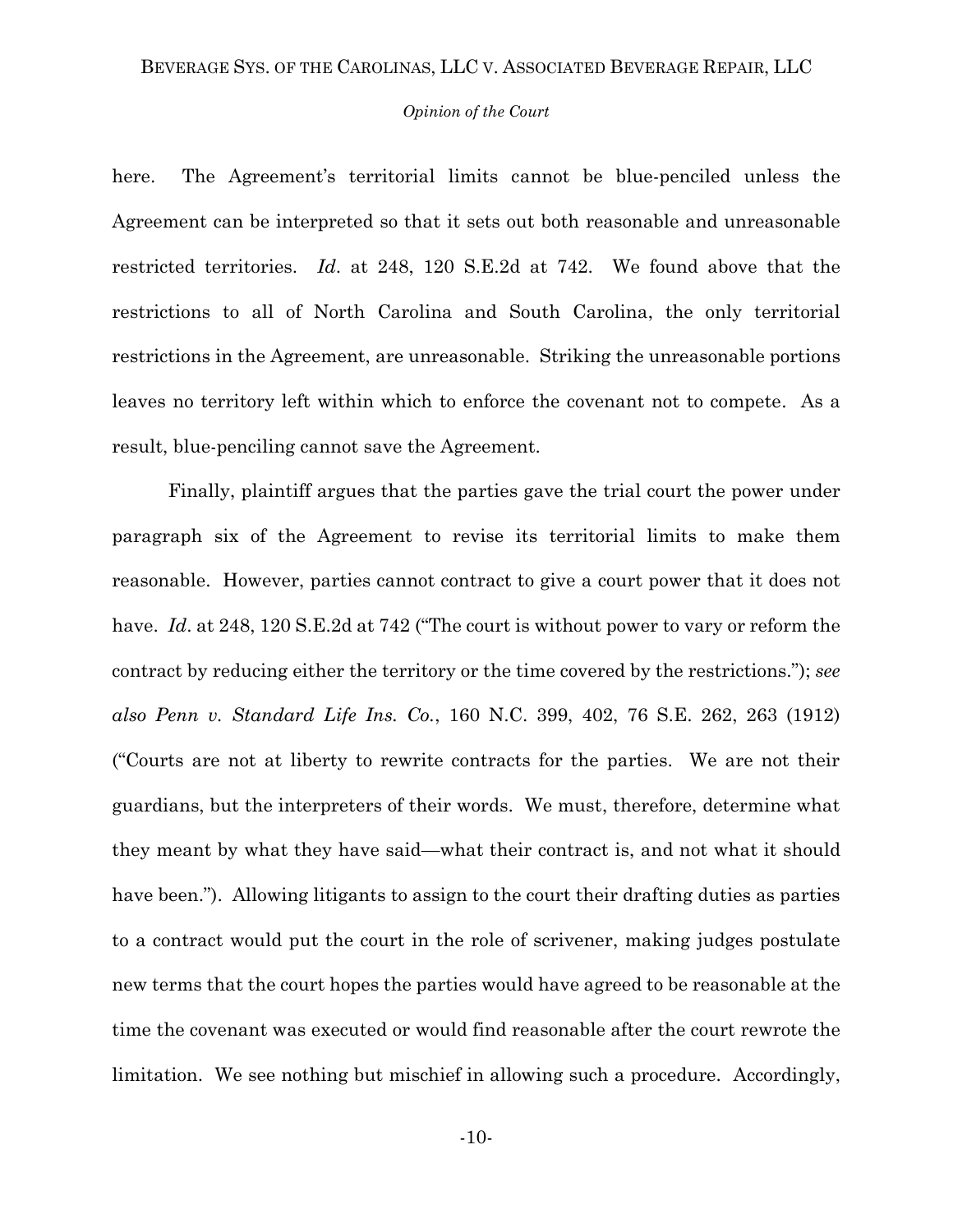#### *Opinion of the Court*

here. The Agreement's territorial limits cannot be blue-penciled unless the Agreement can be interpreted so that it sets out both reasonable and unreasonable restricted territories. *Id*. at 248, 120 S.E.2d at 742. We found above that the restrictions to all of North Carolina and South Carolina, the only territorial restrictions in the Agreement, are unreasonable. Striking the unreasonable portions leaves no territory left within which to enforce the covenant not to compete. As a result, blue-penciling cannot save the Agreement.

Finally, plaintiff argues that the parties gave the trial court the power under paragraph six of the Agreement to revise its territorial limits to make them reasonable. However, parties cannot contract to give a court power that it does not have. *Id.* at 248, 120 S.E.2d at 742 ("The court is without power to vary or reform the contract by reducing either the territory or the time covered by the restrictions."); *see also Penn v. Standard Life Ins. Co.*, 160 N.C. 399, 402, 76 S.E. 262, 263 (1912) ("Courts are not at liberty to rewrite contracts for the parties. We are not their guardians, but the interpreters of their words. We must, therefore, determine what they meant by what they have said—what their contract is, and not what it should have been."). Allowing litigants to assign to the court their drafting duties as parties to a contract would put the court in the role of scrivener, making judges postulate new terms that the court hopes the parties would have agreed to be reasonable at the time the covenant was executed or would find reasonable after the court rewrote the limitation. We see nothing but mischief in allowing such a procedure. Accordingly,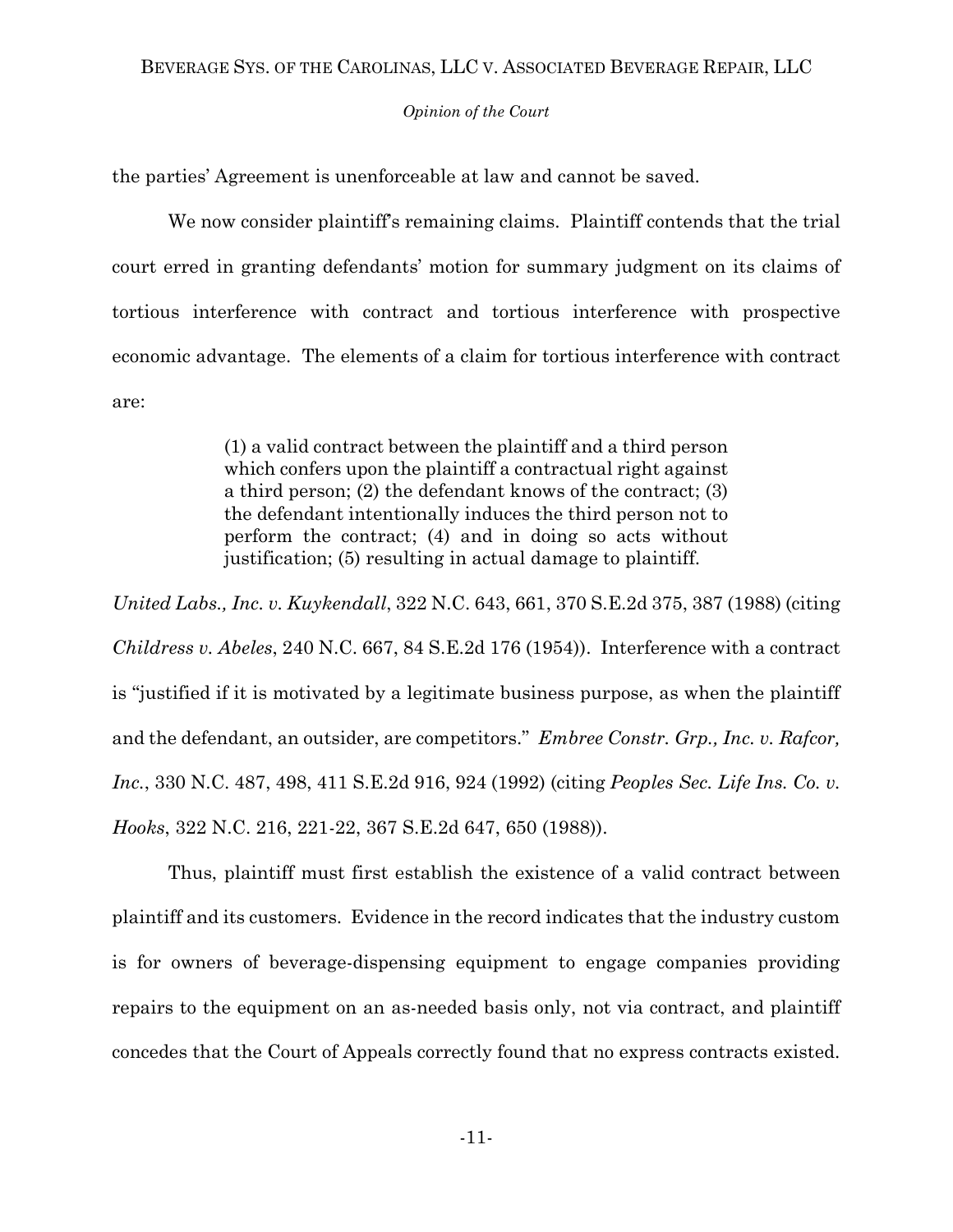## *Opinion of the Court*

the parties' Agreement is unenforceable at law and cannot be saved.

We now consider plaintiff's remaining claims. Plaintiff contends that the trial court erred in granting defendants' motion for summary judgment on its claims of tortious interference with contract and tortious interference with prospective economic advantage. The elements of a claim for tortious interference with contract are:

> (1) a valid contract between the plaintiff and a third person which confers upon the plaintiff a contractual right against a third person; (2) the defendant knows of the contract; (3) the defendant intentionally induces the third person not to perform the contract; (4) and in doing so acts without justification; (5) resulting in actual damage to plaintiff.

*United Labs., Inc. v. Kuykendall*, 322 N.C. 643, 661, 370 S.E.2d 375, 387 (1988) (citing *Childress v. Abeles*, 240 N.C. 667, 84 S.E.2d 176 (1954)). Interference with a contract is "justified if it is motivated by a legitimate business purpose, as when the plaintiff and the defendant, an outsider, are competitors." *Embree Constr. Grp., Inc. v. Rafcor, Inc.*, 330 N.C. 487, 498, 411 S.E.2d 916, 924 (1992) (citing *Peoples Sec. Life Ins. Co. v. Hooks*, 322 N.C. 216, 221-22, 367 S.E.2d 647, 650 (1988)).

Thus, plaintiff must first establish the existence of a valid contract between plaintiff and its customers. Evidence in the record indicates that the industry custom is for owners of beverage-dispensing equipment to engage companies providing repairs to the equipment on an as-needed basis only, not via contract, and plaintiff concedes that the Court of Appeals correctly found that no express contracts existed.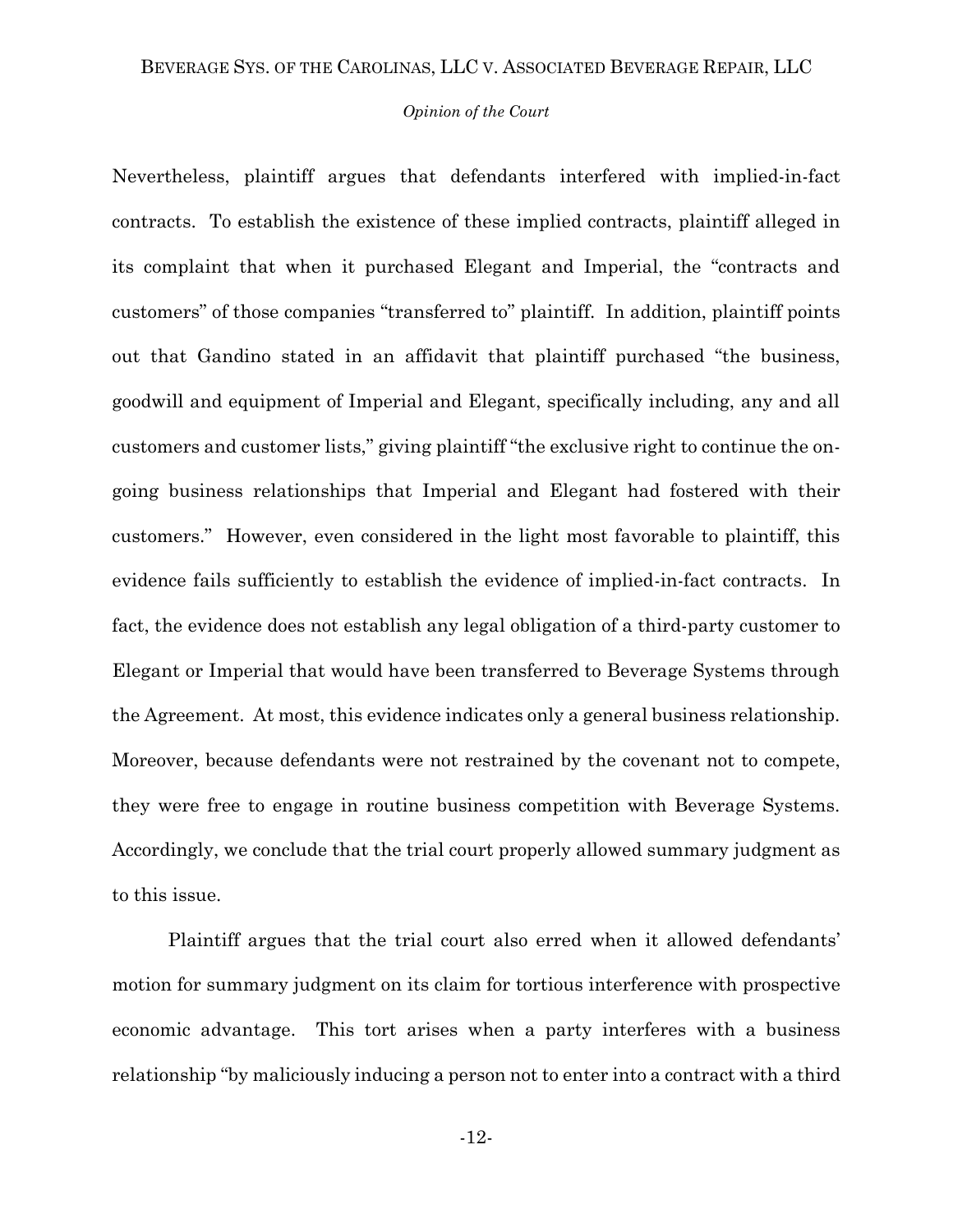## *Opinion of the Court*

Nevertheless, plaintiff argues that defendants interfered with implied-in-fact contracts. To establish the existence of these implied contracts, plaintiff alleged in its complaint that when it purchased Elegant and Imperial, the "contracts and customers" of those companies "transferred to" plaintiff. In addition, plaintiff points out that Gandino stated in an affidavit that plaintiff purchased "the business, goodwill and equipment of Imperial and Elegant, specifically including, any and all customers and customer lists," giving plaintiff "the exclusive right to continue the ongoing business relationships that Imperial and Elegant had fostered with their customers." However, even considered in the light most favorable to plaintiff, this evidence fails sufficiently to establish the evidence of implied-in-fact contracts. In fact, the evidence does not establish any legal obligation of a third-party customer to Elegant or Imperial that would have been transferred to Beverage Systems through the Agreement. At most, this evidence indicates only a general business relationship. Moreover, because defendants were not restrained by the covenant not to compete, they were free to engage in routine business competition with Beverage Systems. Accordingly, we conclude that the trial court properly allowed summary judgment as to this issue.

Plaintiff argues that the trial court also erred when it allowed defendants' motion for summary judgment on its claim for tortious interference with prospective economic advantage. This tort arises when a party interferes with a business relationship "by maliciously inducing a person not to enter into a contract with a third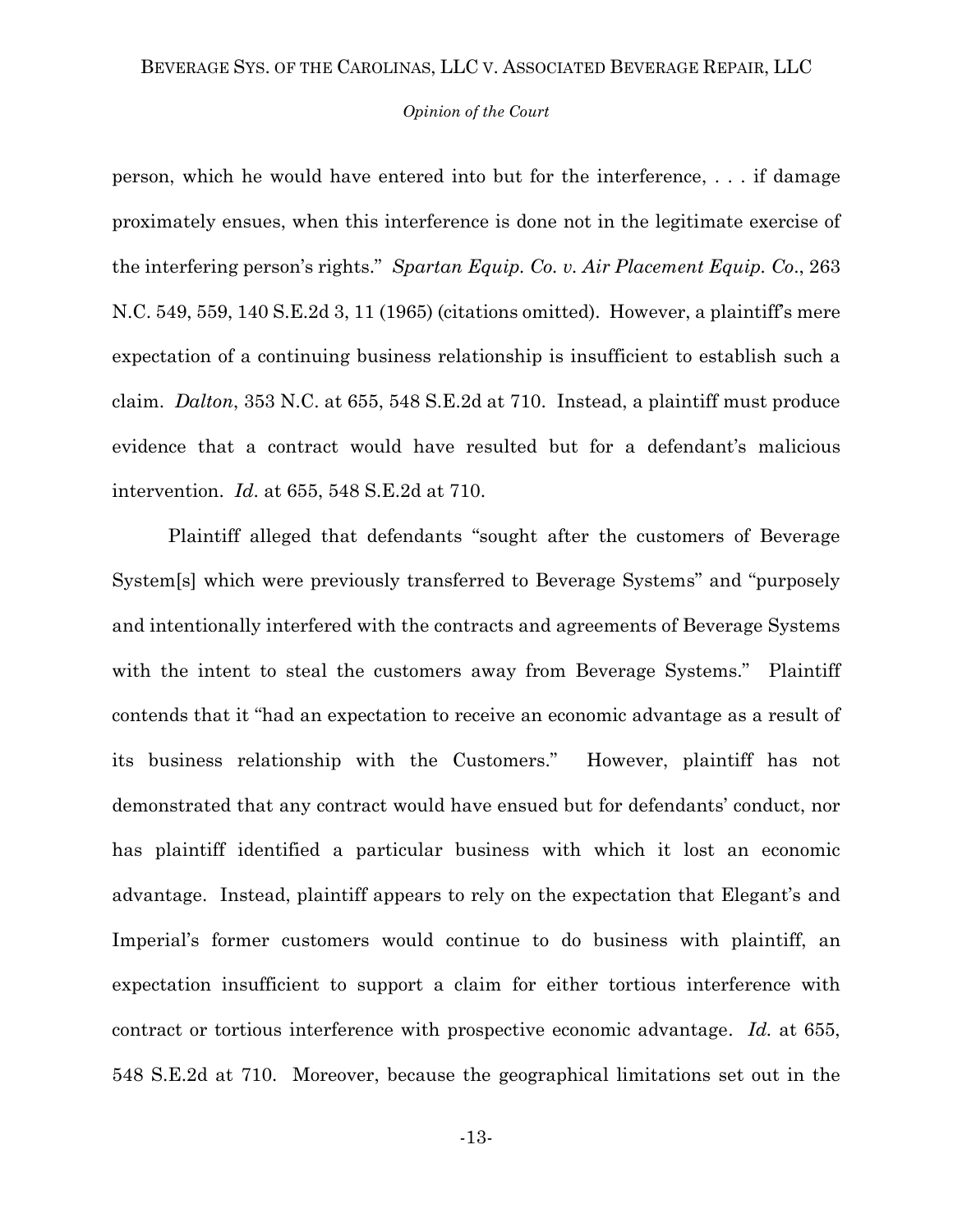#### *Opinion of the Court*

person, which he would have entered into but for the interference, . . . if damage proximately ensues, when this interference is done not in the legitimate exercise of the interfering person's rights." *Spartan Equip. Co. v. Air Placement Equip. Co*., 263 N.C. 549, 559, 140 S.E.2d 3, 11 (1965) (citations omitted). However, a plaintiff's mere expectation of a continuing business relationship is insufficient to establish such a claim. *Dalton*, 353 N.C. at 655, 548 S.E.2d at 710. Instead, a plaintiff must produce evidence that a contract would have resulted but for a defendant's malicious intervention. *Id*. at 655, 548 S.E.2d at 710.

Plaintiff alleged that defendants "sought after the customers of Beverage System[s] which were previously transferred to Beverage Systems" and "purposely and intentionally interfered with the contracts and agreements of Beverage Systems with the intent to steal the customers away from Beverage Systems." Plaintiff contends that it "had an expectation to receive an economic advantage as a result of its business relationship with the Customers." However, plaintiff has not demonstrated that any contract would have ensued but for defendants' conduct, nor has plaintiff identified a particular business with which it lost an economic advantage. Instead, plaintiff appears to rely on the expectation that Elegant's and Imperial's former customers would continue to do business with plaintiff, an expectation insufficient to support a claim for either tortious interference with contract or tortious interference with prospective economic advantage. *Id.* at 655, 548 S.E.2d at 710. Moreover, because the geographical limitations set out in the